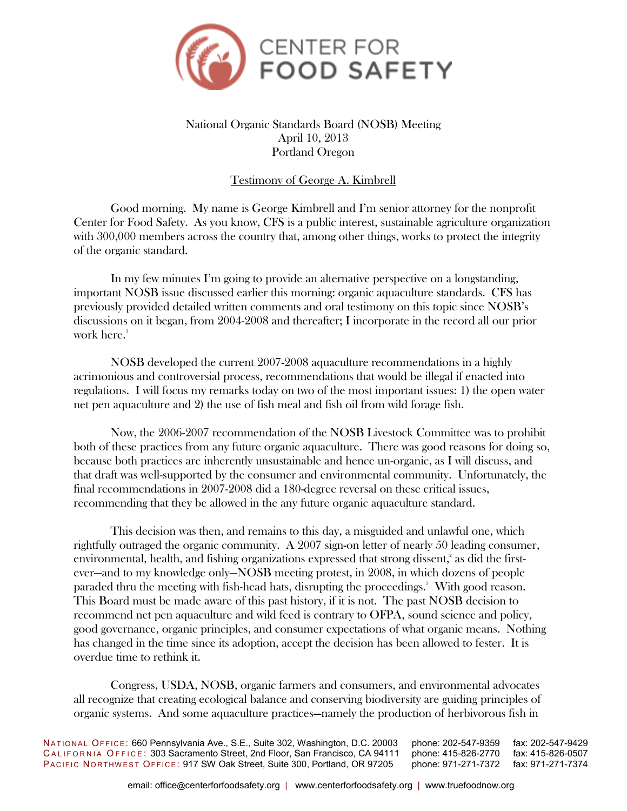

## National Organic Standards Board (NOSB) Meeting April 10, 2013 Portland Oregon

## Testimony of George A. Kimbrell

Good morning. My name is George Kimbrell and I'm senior attorney for the nonprofit Center for Food Safety. As you know, CFS is a public interest, sustainable agriculture organization with 300,000 members across the country that, among other things, works to protect the integrity of the organic standard.

 In my few minutes I'm going to provide an alternative perspective on a longstanding, important NOSB issue discussed earlier this morning: organic aquaculture standards. CFS has previously provided detailed written comments and oral testimony on this topic since NOSB's discussions on it began, from 2004-2008 and thereafter; I incorporate in the record all our prior work here. $1$ 

 NOSB developed the current 2007-2008 aquaculture recommendations in a highly acrimonious and controversial process, recommendations that would be illegal if enacted into regulations. I will focus my remarks today on two of the most important issues: 1) the open water net pen aquaculture and 2) the use of fish meal and fish oil from wild forage fish.

 Now, the 2006-2007 recommendation of the NOSB Livestock Committee was to prohibit both of these practices from any future organic aquaculture. There was good reasons for doing so, because both practices are inherently unsustainable and hence un-organic, as I will discuss, and that draft was well-supported by the consumer and environmental community. Unfortunately, the final recommendations in 2007-2008 did a 180-degree reversal on these critical issues, recommending that they be allowed in the any future organic aquaculture standard.

 This decision was then, and remains to this day, a misguided and unlawful one, which rightfully outraged the organic community. A 2007 sign-on letter of nearly 50 leading consumer, environmental, health, and fishing organizations expressed that strong dissent,<sup>2</sup> as did the firstever—and to my knowledge only—NOSB meeting protest, in 2008, in which dozens of people paraded thru the meeting with fish-head hats, disrupting the proceedings.<sup>3</sup> With good reason. This Board must be made aware of this past history, if it is not. The past NOSB decision to recommend net pen aquaculture and wild feed is contrary to OFPA, sound science and policy, good governance, organic principles, and consumer expectations of what organic means. Nothing has changed in the time since its adoption, accept the decision has been allowed to fester. It is overdue time to rethink it.

 Congress, USDA, NOSB, organic farmers and consumers, and environmental advocates all recognize that creating ecological balance and conserving biodiversity are guiding principles of organic systems. And some aquaculture practices—namely the production of herbivorous fish in

NATIONAL OFFICE: 660 Pennsylvania Ave., S.E., Suite 302, Washington, D.C. 20003 phone: 202-547-9359 fax: 202-547-9429<br>CALIFORNIA OFFICE: 303 Sacramento Street, 2nd Floor, San Francisco, CA 94111 phone: 415-826-2770 fax: 41 CALIFORNIA OFFICE: 303 Sacramento Street, 2nd Floor, San Francisco, CA 94111 PACIFIC NORTHWEST OFFICE: 917 SW Oak Street, Suite 300, Portland, OR 97205 phone: 971-271-7372 fax: 971-271-7374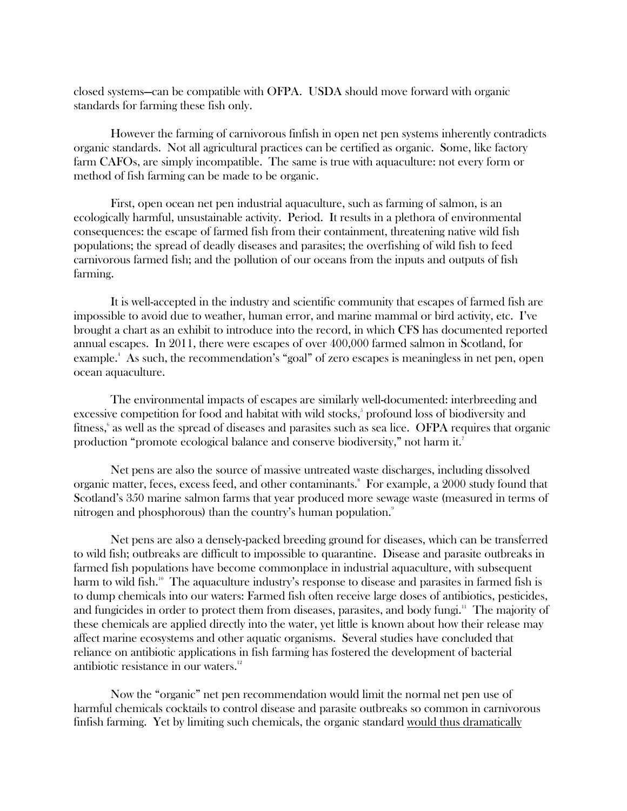closed systems—can be compatible with OFPA. USDA should move forward with organic standards for farming these fish only.

 However the farming of carnivorous finfish in open net pen systems inherently contradicts organic standards. Not all agricultural practices can be certified as organic. Some, like factory farm CAFOs, are simply incompatible. The same is true with aquaculture: not every form or method of fish farming can be made to be organic.

 First, open ocean net pen industrial aquaculture, such as farming of salmon, is an ecologically harmful, unsustainable activity. Period. It results in a plethora of environmental consequences: the escape of farmed fish from their containment, threatening native wild fish populations; the spread of deadly diseases and parasites; the overfishing of wild fish to feed carnivorous farmed fish; and the pollution of our oceans from the inputs and outputs of fish farming.

It is well-accepted in the industry and scientific community that escapes of farmed fish are impossible to avoid due to weather, human error, and marine mammal or bird activity, etc. I've brought a chart as an exhibit to introduce into the record, in which CFS has documented reported annual escapes. In 2011, there were escapes of over 400,000 farmed salmon in Scotland, for example.<sup>4</sup> As such, the recommendation's "goal" of zero escapes is meaningless in net pen, open ocean aquaculture.

The environmental impacts of escapes are similarly well-documented: interbreeding and excessive competition for food and habitat with wild stocks,<sup>5</sup> profound loss of biodiversity and fitness,<sup>6</sup> as well as the spread of diseases and parasites such as sea lice. OFPA requires that organic production "promote ecological balance and conserve biodiversity," not harm it.<sup>7</sup>

Net pens are also the source of massive untreated waste discharges, including dissolved organic matter, feces, excess feed, and other contaminants.<sup>8</sup> For example, a 2000 study found that Scotland's 350 marine salmon farms that year produced more sewage waste (measured in terms of nitrogen and phosphorous) than the country's human population.<sup>9</sup>

Net pens are also a densely-packed breeding ground for diseases, which can be transferred to wild fish; outbreaks are difficult to impossible to quarantine. Disease and parasite outbreaks in farmed fish populations have become commonplace in industrial aquaculture, with subsequent harm to wild fish.<sup>10</sup> The aquaculture industry's response to disease and parasites in farmed fish is to dump chemicals into our waters: Farmed fish often receive large doses of antibiotics, pesticides, and fungicides in order to protect them from diseases, parasites, and body fungi.<sup>11</sup> The majority of these chemicals are applied directly into the water, yet little is known about how their release may affect marine ecosystems and other aquatic organisms. Several studies have concluded that reliance on antibiotic applications in fish farming has fostered the development of bacterial antibiotic resistance in our waters.<sup>12</sup>

Now the "organic" net pen recommendation would limit the normal net pen use of harmful chemicals cocktails to control disease and parasite outbreaks so common in carnivorous finfish farming. Yet by limiting such chemicals, the organic standard would thus dramatically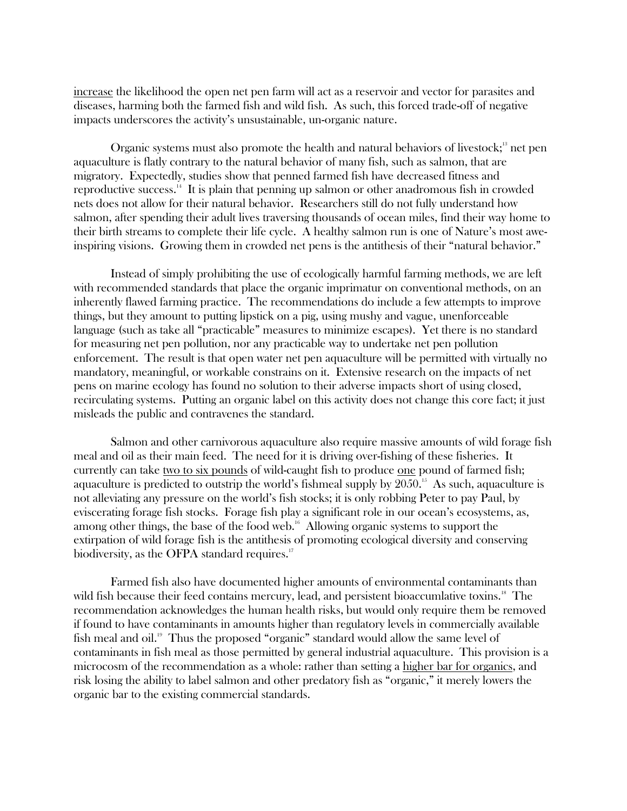increase the likelihood the open net pen farm will act as a reservoir and vector for parasites and diseases, harming both the farmed fish and wild fish. As such, this forced trade-off of negative impacts underscores the activity's unsustainable, un-organic nature.

Organic systems must also promote the health and natural behaviors of livestock; $\frac{13}{12}$  net pen aquaculture is flatly contrary to the natural behavior of many fish, such as salmon, that are migratory. Expectedly, studies show that penned farmed fish have decreased fitness and reproductive success.<sup>14</sup> It is plain that penning up salmon or other anadromous fish in crowded nets does not allow for their natural behavior. Researchers still do not fully understand how salmon, after spending their adult lives traversing thousands of ocean miles, find their way home to their birth streams to complete their life cycle. A healthy salmon run is one of Nature's most aweinspiring visions. Growing them in crowded net pens is the antithesis of their "natural behavior."

 Instead of simply prohibiting the use of ecologically harmful farming methods, we are left with recommended standards that place the organic imprimatur on conventional methods, on an inherently flawed farming practice. The recommendations do include a few attempts to improve things, but they amount to putting lipstick on a pig, using mushy and vague, unenforceable language (such as take all "practicable" measures to minimize escapes). Yet there is no standard for measuring net pen pollution, nor any practicable way to undertake net pen pollution enforcement. The result is that open water net pen aquaculture will be permitted with virtually no mandatory, meaningful, or workable constrains on it. Extensive research on the impacts of net pens on marine ecology has found no solution to their adverse impacts short of using closed, recirculating systems. Putting an organic label on this activity does not change this core fact; it just misleads the public and contravenes the standard.

 Salmon and other carnivorous aquaculture also require massive amounts of wild forage fish meal and oil as their main feed. The need for it is driving over-fishing of these fisheries. It currently can take two to six pounds of wild-caught fish to produce one pound of farmed fish; aquaculture is predicted to outstrip the world's fishmeal supply by  $2050$ .<sup>15</sup> As such, aquaculture is not alleviating any pressure on the world's fish stocks; it is only robbing Peter to pay Paul, by eviscerating forage fish stocks. Forage fish play a significant role in our ocean's ecosystems, as, among other things, the base of the food web.<sup>16</sup> Allowing organic systems to support the extirpation of wild forage fish is the antithesis of promoting ecological diversity and conserving biodiversity, as the OFPA standard requires.<sup>17</sup>

 Farmed fish also have documented higher amounts of environmental contaminants than wild fish because their feed contains mercury, lead, and persistent bioaccumlative toxins.<sup>18</sup> The recommendation acknowledges the human health risks, but would only require them be removed if found to have contaminants in amounts higher than regulatory levels in commercially available fish meal and oil.<sup>19</sup> Thus the proposed "organic" standard would allow the same level of contaminants in fish meal as those permitted by general industrial aquaculture. This provision is a microcosm of the recommendation as a whole: rather than setting a higher bar for organics, and risk losing the ability to label salmon and other predatory fish as "organic," it merely lowers the organic bar to the existing commercial standards.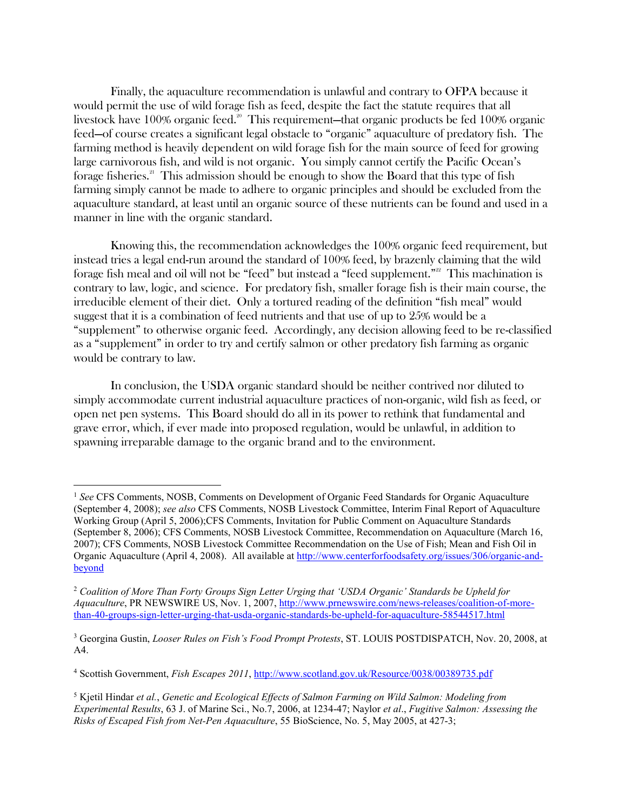Finally, the aquaculture recommendation is unlawful and contrary to OFPA because it would permit the use of wild forage fish as feed, despite the fact the statute requires that all livestock have 100% organic feed.<sup>20</sup> This requirement—that organic products be fed 100% organic feed—of course creates a significant legal obstacle to "organic" aquaculture of predatory fish. The farming method is heavily dependent on wild forage fish for the main source of feed for growing large carnivorous fish, and wild is not organic. You simply cannot certify the Pacific Ocean's forage fisheries.<sup>21</sup> This admission should be enough to show the Board that this type of fish farming simply cannot be made to adhere to organic principles and should be excluded from the aquaculture standard, at least until an organic source of these nutrients can be found and used in a manner in line with the organic standard.

 Knowing this, the recommendation acknowledges the 100% organic feed requirement, but instead tries a legal end-run around the standard of 100% feed, by brazenly claiming that the wild forage fish meal and oil will not be "feed" but instead a "feed supplement."<sup>22</sup> This machination is contrary to law, logic, and science. For predatory fish, smaller forage fish is their main course, the irreducible element of their diet. Only a tortured reading of the definition "fish meal" would suggest that it is a combination of feed nutrients and that use of up to 25% would be a "supplement" to otherwise organic feed. Accordingly, any decision allowing feed to be re-classified as a "supplement" in order to try and certify salmon or other predatory fish farming as organic would be contrary to law.

 In conclusion, the USDA organic standard should be neither contrived nor diluted to simply accommodate current industrial aquaculture practices of non-organic, wild fish as feed, or open net pen systems. This Board should do all in its power to rethink that fundamental and grave error, which, if ever made into proposed regulation, would be unlawful, in addition to spawning irreparable damage to the organic brand and to the environment.

<u>.</u>

<sup>1</sup> *See* CFS Comments, NOSB, Comments on Development of Organic Feed Standards for Organic Aquaculture (September 4, 2008); *see also* CFS Comments, NOSB Livestock Committee, Interim Final Report of Aquaculture Working Group (April 5, 2006);CFS Comments, Invitation for Public Comment on Aquaculture Standards (September 8, 2006); CFS Comments, NOSB Livestock Committee, Recommendation on Aquaculture (March 16, 2007); CFS Comments, NOSB Livestock Committee Recommendation on the Use of Fish; Mean and Fish Oil in Organic Aquaculture (April 4, 2008). All available at http://www.centerforfoodsafety.org/issues/306/organic-andbeyond

<sup>2</sup> *Coalition of More Than Forty Groups Sign Letter Urging that 'USDA Organic' Standards be Upheld for Aquaculture*, PR NEWSWIRE US, Nov. 1, 2007, http://www.prnewswire.com/news-releases/coalition-of-morethan-40-groups-sign-letter-urging-that-usda-organic-standards-be-upheld-for-aquaculture-58544517.html

<sup>3</sup> Georgina Gustin, *Looser Rules on Fish's Food Prompt Protests*, ST. LOUIS POSTDISPATCH, Nov. 20, 2008, at A4.

<sup>&</sup>lt;sup>4</sup> Scottish Government, *Fish Escapes 2011*, http://www.scotland.gov.uk/Resource/0038/00389735.pdf

<sup>5</sup> Kjetil Hindar *et al.*, *Genetic and Ecological Effects of Salmon Farming on Wild Salmon: Modeling from Experimental Results*, 63 J. of Marine Sci., No.7, 2006, at 1234-47; Naylor *et al*., *Fugitive Salmon: Assessing the Risks of Escaped Fish from Net-Pen Aquaculture*, 55 BioScience, No. 5, May 2005, at 427-3;